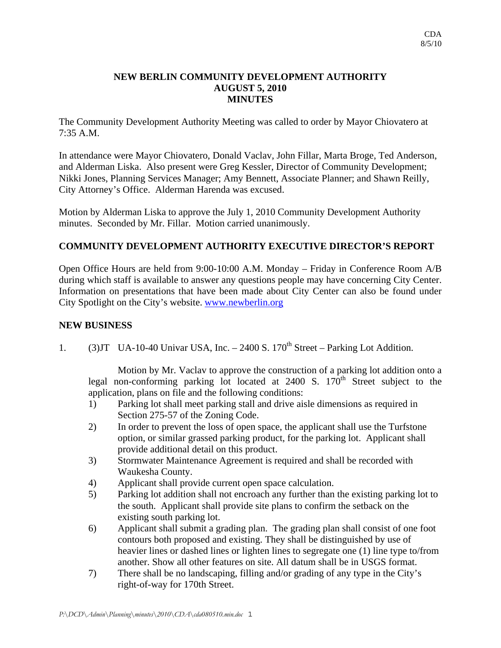## **NEW BERLIN COMMUNITY DEVELOPMENT AUTHORITY AUGUST 5, 2010 MINUTES**

The Community Development Authority Meeting was called to order by Mayor Chiovatero at 7:35 A.M.

In attendance were Mayor Chiovatero, Donald Vaclav, John Fillar, Marta Broge, Ted Anderson, and Alderman Liska. Also present were Greg Kessler, Director of Community Development; Nikki Jones, Planning Services Manager; Amy Bennett, Associate Planner; and Shawn Reilly, City Attorney's Office. Alderman Harenda was excused.

Motion by Alderman Liska to approve the July 1, 2010 Community Development Authority minutes. Seconded by Mr. Fillar. Motion carried unanimously.

## **COMMUNITY DEVELOPMENT AUTHORITY EXECUTIVE DIRECTOR'S REPORT**

Open Office Hours are held from 9:00-10:00 A.M. Monday – Friday in Conference Room A/B during which staff is available to answer any questions people may have concerning City Center. Information on presentations that have been made about City Center can also be found under City Spotlight on the City's website. www.newberlin.org

## **NEW BUSINESS**

1. (3) JT UA-10-40 Univar USA, Inc.  $-2400$  S. 170<sup>th</sup> Street – Parking Lot Addition.

 Motion by Mr. Vaclav to approve the construction of a parking lot addition onto a legal non-conforming parking lot located at  $2400$  S.  $170<sup>th</sup>$  Street subject to the application, plans on file and the following conditions:

- 1) Parking lot shall meet parking stall and drive aisle dimensions as required in Section 275-57 of the Zoning Code.
- 2) In order to prevent the loss of open space, the applicant shall use the Turfstone option, or similar grassed parking product, for the parking lot. Applicant shall provide additional detail on this product.
- 3) Stormwater Maintenance Agreement is required and shall be recorded with Waukesha County.
- 4) Applicant shall provide current open space calculation.
- 5) Parking lot addition shall not encroach any further than the existing parking lot to the south. Applicant shall provide site plans to confirm the setback on the existing south parking lot.
- 6) Applicant shall submit a grading plan. The grading plan shall consist of one foot contours both proposed and existing. They shall be distinguished by use of heavier lines or dashed lines or lighten lines to segregate one (1) line type to/from another. Show all other features on site. All datum shall be in USGS format.
- 7) There shall be no landscaping, filling and/or grading of any type in the City's right-of-way for 170th Street.